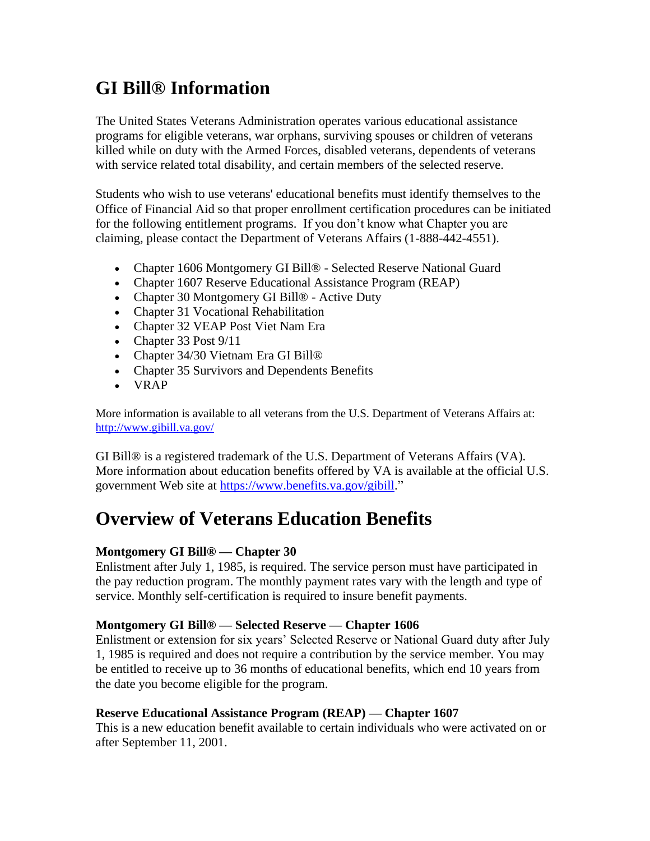# **GI Bill® Information**

The United States Veterans Administration operates various educational assistance programs for eligible veterans, war orphans, surviving spouses or children of veterans killed while on duty with the Armed Forces, disabled veterans, dependents of veterans with service related total disability, and certain members of the selected reserve.

Students who wish to use veterans' educational benefits must identify themselves to the Office of Financial Aid so that proper enrollment certification procedures can be initiated for the following entitlement programs. If you don't know what Chapter you are claiming, please contact the Department of Veterans Affairs (1-888-442-4551).

- Chapter 1606 Montgomery GI Bill® Selected Reserve National Guard
- Chapter 1607 Reserve Educational Assistance Program (REAP)
- Chapter 30 Montgomery GI Bill® Active Duty
- Chapter 31 Vocational Rehabilitation
- Chapter 32 VEAP Post Viet Nam Era
- Chapter 33 Post 9/11
- Chapter 34/30 Vietnam Era GI Bill®
- Chapter 35 Survivors and Dependents Benefits
- VRAP

More information is available to all veterans from the U.S. Department of Veterans Affairs at: <http://www.gibill.va.gov/>

GI Bill® is a registered trademark of the U.S. Department of Veterans Affairs (VA). More information about education benefits offered by VA is available at the official U.S. government Web site at [https://www.benefits.va.gov/gibill.](https://www.benefits.va.gov/gibill)"

## **Overview of Veterans Education Benefits**

### **Montgomery GI Bill® — Chapter 30**

Enlistment after July 1, 1985, is required. The service person must have participated in the pay reduction program. The monthly payment rates vary with the length and type of service. Monthly self-certification is required to insure benefit payments.

#### **Montgomery GI Bill® — Selected Reserve — Chapter 1606**

Enlistment or extension for six years' Selected Reserve or National Guard duty after July 1, 1985 is required and does not require a contribution by the service member. You may be entitled to receive up to 36 months of educational benefits, which end 10 years from the date you become eligible for the program.

### **Reserve Educational Assistance Program (REAP) — Chapter 1607**

This is a new education benefit available to certain individuals who were activated on or after September 11, 2001.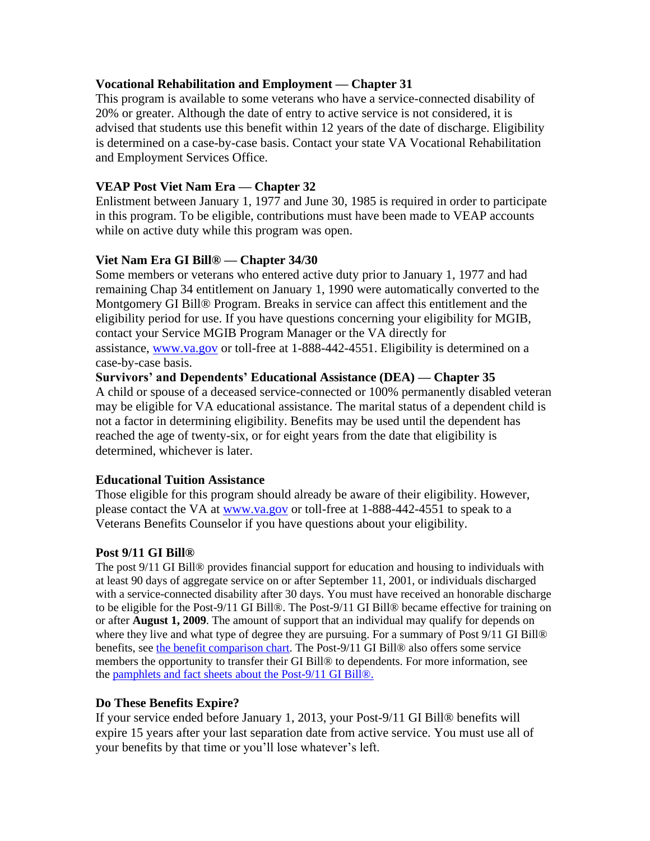#### **Vocational Rehabilitation and Employment — Chapter 31**

This program is available to some veterans who have a service-connected disability of 20% or greater. Although the date of entry to active service is not considered, it is advised that students use this benefit within 12 years of the date of discharge. Eligibility is determined on a case-by-case basis. Contact your state VA Vocational Rehabilitation and Employment Services Office.

#### **VEAP Post Viet Nam Era — Chapter 32**

Enlistment between January 1, 1977 and June 30, 1985 is required in order to participate in this program. To be eligible, contributions must have been made to VEAP accounts while on active duty while this program was open.

#### **Viet Nam Era GI Bill® — Chapter 34/30**

Some members or veterans who entered active duty prior to January 1, 1977 and had remaining Chap 34 entitlement on January 1, 1990 were automatically converted to the Montgomery GI Bill® Program. Breaks in service can affect this entitlement and the eligibility period for use. If you have questions concerning your eligibility for MGIB, contact your Service MGIB Program Manager or the VA directly for assistance, [www.va.gov](http://www.va.gov/) or toll-free at 1-888-442-4551. Eligibility is determined on a case-by-case basis.

**Survivors' and Dependents' Educational Assistance (DEA) — Chapter 35** A child or spouse of a deceased service-connected or 100% permanently disabled veteran may be eligible for VA educational assistance. The marital status of a dependent child is not a factor in determining eligibility. Benefits may be used until the dependent has reached the age of twenty-six, or for eight years from the date that eligibility is determined, whichever is later.

#### **Educational Tuition Assistance**

Those eligible for this program should already be aware of their eligibility. However, please contact the VA at [www.va.gov](http://www.va.gov/) or toll-free at 1-888-442-4551 to speak to a Veterans Benefits Counselor if you have questions about your eligibility.

#### **Post 9/11 GI Bill®**

The post 9/11 GI Bill® provides financial support for education and housing to individuals with at least 90 days of aggregate service on or after September 11, 2001, or individuals discharged with a service-connected disability after 30 days. You must have received an honorable discharge to be eligible for the Post-9/11 GI Bill®. The Post-9/11 GI Bill® became effective for training on or after **August 1, 2009**. The amount of support that an individual may qualify for depends on where they live and what type of degree they are pursuing. For a summary of Post 9/11 GI Bill<sup>®</sup> benefits, see [the benefit comparison chart.](https://www.benefits.va.gov/GIBILL/comparison_chart.asp) The Post-9/11 GI Bill® also offers some service members the opportunity to transfer their GI Bill® to dependents. For more information, see the [pamphlets and fact sheets about the Post-9/11 GI Bill®.](https://www.benefits.va.gov/gibill/docs/pamphlets/ch33_pamphlet.pdf)

### **Do These Benefits Expire?**

If your service ended before January 1, 2013, your Post-9/11 GI Bill® benefits will expire 15 years after your last separation date from active service. You must use all of your benefits by that time or you'll lose whatever's left.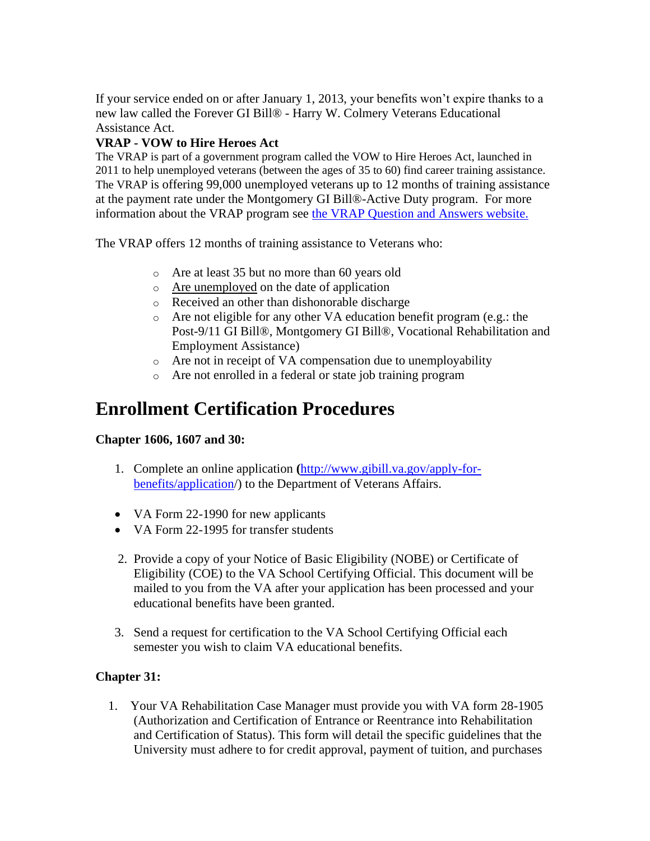If your service ended on or after January 1, 2013, your benefits won't expire thanks to a new law called the Forever GI Bill® - Harry W. Colmery Veterans Educational Assistance Act.

## **VRAP - VOW to Hire Heroes Act**

The VRAP is part of a government program called the VOW to Hire Heroes Act, launched in 2011 to help unemployed veterans (between the ages of 35 to 60) find career training assistance. The VRAP is offering 99,000 unemployed veterans up to 12 months of training assistance at the payment rate under the Montgomery GI Bill®-Active Duty program. For more information about the VRAP program see [the VRAP Question and Answers website.](https://gibill.custhelp.com/app/answers/list/kw/vrap)

The VRAP offers 12 months of training assistance to Veterans who:

- o Are at least 35 but no more than 60 years old
- o [Are unemployed](https://gibill.custhelp.com/app/answers/detail/a_id/1451/) on the date of application
- o Received an other than dishonorable discharge
- o Are not eligible for any other VA education benefit program (e.g.: the Post-9/11 GI Bill®, Montgomery GI Bill®, Vocational Rehabilitation and Employment Assistance)
- o Are not in receipt of VA compensation due to unemployability
- o Are not enrolled in a federal or state job training program

# **Enrollment Certification Procedures**

### **Chapter 1606, 1607 and 30:**

- 1. Complete an online application **(**[http://www.gibill.va.gov/apply-for](http://www.gibill.va.gov/apply-for-benefits/application)[benefits/application/](http://www.gibill.va.gov/apply-for-benefits/application)) to the Department of Veterans Affairs.
- VA Form 22-1990 for new applicants
- VA Form 22-1995 for transfer students
- 2. Provide a copy of your Notice of Basic Eligibility (NOBE) or Certificate of Eligibility (COE) to the VA School Certifying Official. This document will be mailed to you from the VA after your application has been processed and your educational benefits have been granted.
- 3. Send a request for certification to the VA School Certifying Official each semester you wish to claim VA educational benefits.

## **Chapter 31:**

 1. Your VA Rehabilitation Case Manager must provide you with VA form 28-1905 (Authorization and Certification of Entrance or Reentrance into Rehabilitation and Certification of Status). This form will detail the specific guidelines that the University must adhere to for credit approval, payment of tuition, and purchases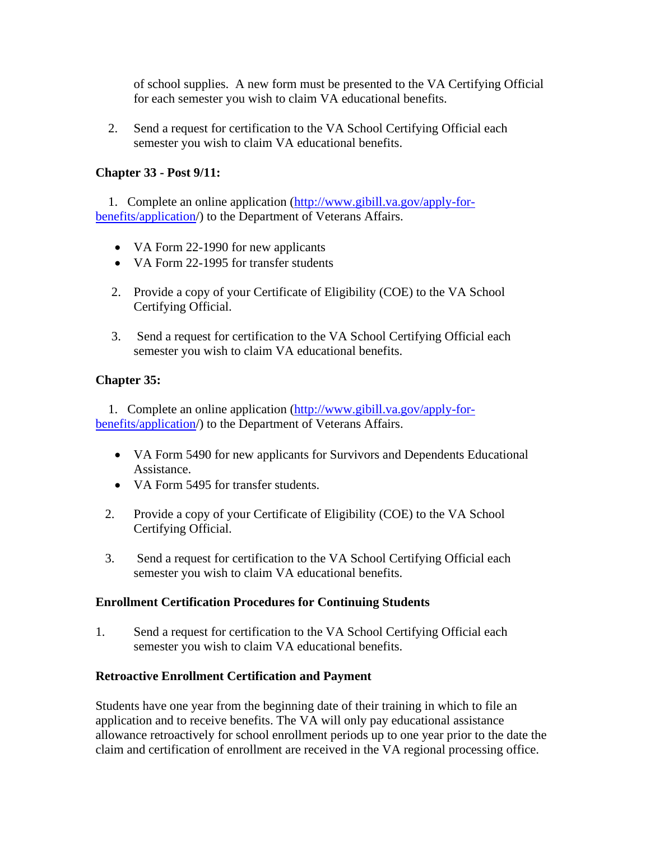of school supplies. A new form must be presented to the VA Certifying Official for each semester you wish to claim VA educational benefits.

 2. Send a request for certification to the VA School Certifying Official each semester you wish to claim VA educational benefits.

## **Chapter 33 - Post 9/11:**

 1. Complete an online application [\(http://www.gibill.va.gov/apply-for](http://www.gibill.va.gov/apply-for-%20%20%20%20%20%20%20%20%20%20%20%20%20%20%20%20%20%20%20%20%20%20%20%20%20%20%20%20%20%20%20%20%20%20%20%20%20benefits/application)[benefits/application/](http://www.gibill.va.gov/apply-for-%20%20%20%20%20%20%20%20%20%20%20%20%20%20%20%20%20%20%20%20%20%20%20%20%20%20%20%20%20%20%20%20%20%20%20%20%20benefits/application)) to the Department of Veterans Affairs.

- VA Form 22-1990 for new applicants
- VA Form 22-1995 for transfer students
- 2. Provide a copy of your Certificate of Eligibility (COE) to the VA School Certifying Official.
- 3. Send a request for certification to the VA School Certifying Official each semester you wish to claim VA educational benefits.

## **Chapter 35:**

 1. Complete an online application [\(http://www.gibill.va.gov/apply-for](http://www.gibill.va.gov/apply-for-benefits/application)[benefits/application/](http://www.gibill.va.gov/apply-for-benefits/application)) to the Department of Veterans Affairs.

- VA Form 5490 for new applicants for Survivors and Dependents Educational Assistance.
- VA Form 5495 for transfer students.
- 2. Provide a copy of your Certificate of Eligibility (COE) to the VA School Certifying Official.
- 3. Send a request for certification to the VA School Certifying Official each semester you wish to claim VA educational benefits.

### **Enrollment Certification Procedures for Continuing Students**

1. Send a request for certification to the VA School Certifying Official each semester you wish to claim VA educational benefits.

### **Retroactive Enrollment Certification and Payment**

Students have one year from the beginning date of their training in which to file an application and to receive benefits. The VA will only pay educational assistance allowance retroactively for school enrollment periods up to one year prior to the date the claim and certification of enrollment are received in the VA regional processing office.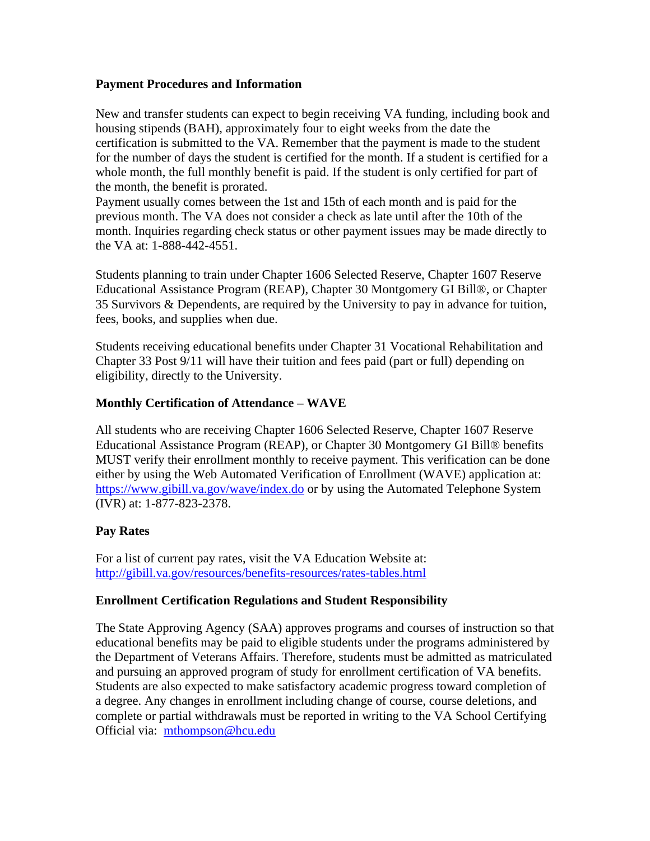#### **Payment Procedures and Information**

New and transfer students can expect to begin receiving VA funding, including book and housing stipends (BAH), approximately four to eight weeks from the date the certification is submitted to the VA. Remember that the payment is made to the student for the number of days the student is certified for the month. If a student is certified for a whole month, the full monthly benefit is paid. If the student is only certified for part of the month, the benefit is prorated.

Payment usually comes between the 1st and 15th of each month and is paid for the previous month. The VA does not consider a check as late until after the 10th of the month. Inquiries regarding check status or other payment issues may be made directly to the VA at: 1-888-442-4551.

Students planning to train under Chapter 1606 Selected Reserve, Chapter 1607 Reserve Educational Assistance Program (REAP), Chapter 30 Montgomery GI Bill®, or Chapter 35 Survivors & Dependents, are required by the University to pay in advance for tuition, fees, books, and supplies when due.

Students receiving educational benefits under Chapter 31 Vocational Rehabilitation and Chapter 33 Post 9/11 will have their tuition and fees paid (part or full) depending on eligibility, directly to the University.

### **Monthly Certification of Attendance – WAVE**

All students who are receiving Chapter 1606 Selected Reserve, Chapter 1607 Reserve Educational Assistance Program (REAP), or Chapter 30 Montgomery GI Bill® benefits MUST verify their enrollment monthly to receive payment. This verification can be done either by using the Web Automated Verification of Enrollment (WAVE) application at: <https://www.gibill.va.gov/wave/index.do> or by using the Automated Telephone System (IVR) at: 1-877-823-2378.

### **Pay Rates**

For a list of current pay rates, visit the VA Education Website at: <http://gibill.va.gov/resources/benefits-resources/rates-tables.html>

### **Enrollment Certification Regulations and Student Responsibility**

The State Approving Agency (SAA) approves programs and courses of instruction so that educational benefits may be paid to eligible students under the programs administered by the Department of Veterans Affairs. Therefore, students must be admitted as matriculated and pursuing an approved program of study for enrollment certification of VA benefits. Students are also expected to make satisfactory academic progress toward completion of a degree. Any changes in enrollment including change of course, course deletions, and complete or partial withdrawals must be reported in writing to the VA School Certifying Official via: [mthompson@hcu.edu](mailto:mthompson@hcu.edu)